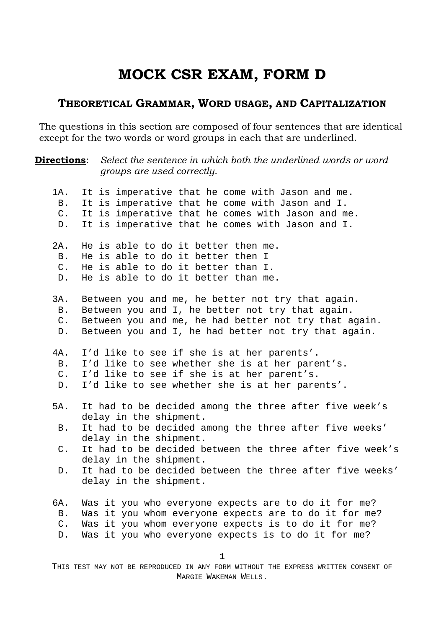## **MOCK CSR EXAM, FORM D**

### **THEORETICAL GRAMMAR, WORD USAGE, AND CAPITALIZATION**

The questions in this section are composed of four sentences that are identical except for the two words or word groups in each that are underlined.

**Directions**: Select the sentence in which both the underlined words or word *groups are used correctly.* 

| 1A.            | It is imperative that he come with Jason and me.         |
|----------------|----------------------------------------------------------|
| <b>B</b> .     | It is imperative that he come with Jason and I.          |
| $\mathsf{C}$ . | It is imperative that he comes with Jason and me.        |
| $D$ .          | It is imperative that he comes with Jason and I.         |
|                |                                                          |
| 2A.            | He is able to do it better then me.                      |
| <b>B</b> .     | He is able to do it better then I                        |
| $C$ .          | He is able to do it better than I.                       |
| D.             | He is able to do it better than me.                      |
|                |                                                          |
| 3A.            | Between you and me, he better not try that again.        |
| <b>B</b> .     | Between you and I, he better not try that again.         |
| $C$ .          | Between you and me, he had better not try that again.    |
|                | Between you and I, he had better not try that again.     |
| $D$ .          |                                                          |
| 4A.            | I'd like to see if she is at her parents'.               |
| <b>B</b> .     |                                                          |
|                | I'd like to see whether she is at her parent's.          |
| $C$ .          | I'd like to see if she is at her parent's.               |
| $D$ .          | I'd like to see whether she is at her parents'.          |
|                |                                                          |
| 5A.            | It had to be decided among the three after five week's   |
|                | delay in the shipment.                                   |
| <b>B</b> .     | It had to be decided among the three after five weeks'   |
|                | delay in the shipment.                                   |
| $C$ .          | It had to be decided between the three after five week's |
|                | delay in the shipment.                                   |
| D.             | It had to be decided between the three after five weeks' |
|                | delay in the shipment.                                   |
|                |                                                          |
| 6A.            | Was it you who everyone expects are to do it for me?     |
| Β.             | Was it you whom everyone expects are to do it for me?    |
| $\mathsf{C}$ . | Was it you whom everyone expects is to do it for me?     |
| D.             | Was it you who everyone expects is to do it for me?      |
|                |                                                          |
|                | $\mathbf{1}$                                             |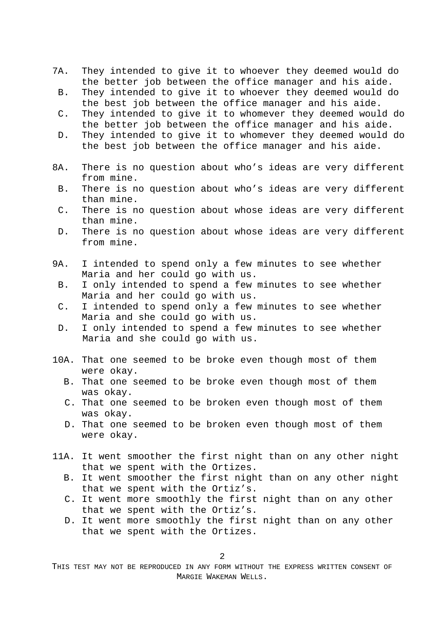- 7A. They intended to give it to whoever they deemed would do the better job between the office manager and his aide.
	- B. They intended to give it to whoever they deemed would do the best job between the office manager and his aide.
	- C. They intended to give it to whomever they deemed would do the better job between the office manager and his aide.
	- D. They intended to give it to whomever they deemed would do the best job between the office manager and his aide.
- 8A. There is no question about who's ideas are very different from mine.
	- B. There is no question about who's ideas are very different than mine.
	- C. There is no question about whose ideas are very different than mine.
	- D. There is no question about whose ideas are very different from mine.
- 9A. I intended to spend only a few minutes to see whether Maria and her could go with us.
	- B. I only intended to spend a few minutes to see whether Maria and her could go with us.
	- C. I intended to spend only a few minutes to see whether Maria and she could go with us.
	- D. I only intended to spend a few minutes to see whether Maria and she could go with us.
- 10A. That one seemed to be broke even though most of them were okay.
	- B. That one seemed to be broke even though most of them was okay.
	- C. That one seemed to be broken even though most of them was okay.
	- D. That one seemed to be broken even though most of them were okay.
- 11A. It went smoother the first night than on any other night that we spent with the Ortizes.
	- B. It went smoother the first night than on any other night that we spent with the Ortiz's.
	- C. It went more smoothly the first night than on any other that we spent with the Ortiz's.
	- D. It went more smoothly the first night than on any other that we spent with the Ortizes.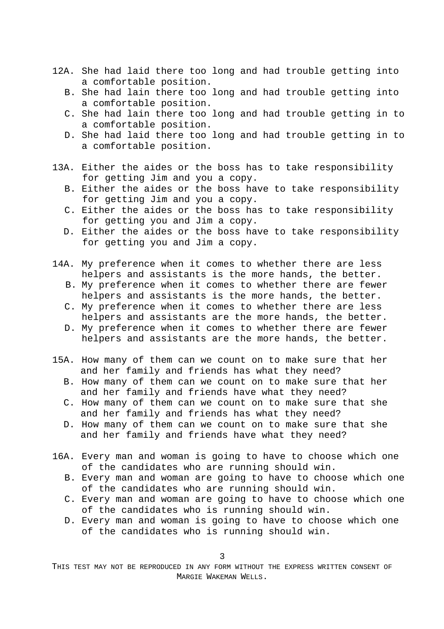- 12A. She had laid there too long and had trouble getting into a comfortable position.
	- B. She had lain there too long and had trouble getting into a comfortable position.
	- C. She had lain there too long and had trouble getting in to a comfortable position.
	- D. She had laid there too long and had trouble getting in to a comfortable position.
- 13A. Either the aides or the boss has to take responsibility for getting Jim and you a copy.
	- B. Either the aides or the boss have to take responsibility for getting Jim and you a copy.
	- C. Either the aides or the boss has to take responsibility for getting you and Jim a copy.
	- D. Either the aides or the boss have to take responsibility for getting you and Jim a copy.
- 14A. My preference when it comes to whether there are less helpers and assistants is the more hands, the better.
	- B. My preference when it comes to whether there are fewer helpers and assistants is the more hands, the better.
	- C. My preference when it comes to whether there are less helpers and assistants are the more hands, the better.
	- D. My preference when it comes to whether there are fewer helpers and assistants are the more hands, the better.
- 15A. How many of them can we count on to make sure that her and her family and friends has what they need?
	- B. How many of them can we count on to make sure that her and her family and friends have what they need?
	- C. How many of them can we count on to make sure that she and her family and friends has what they need?
	- D. How many of them can we count on to make sure that she and her family and friends have what they need?
- 16A. Every man and woman is going to have to choose which one of the candidates who are running should win.
	- B. Every man and woman are going to have to choose which one of the candidates who are running should win.
	- C. Every man and woman are going to have to choose which one of the candidates who is running should win.
	- D. Every man and woman is going to have to choose which one of the candidates who is running should win.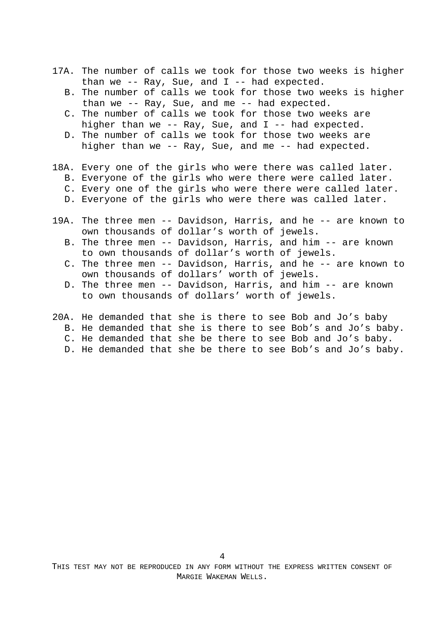- 17A. The number of calls we took for those two weeks is higher than we -- Ray, Sue, and I -- had expected.
	- B. The number of calls we took for those two weeks is higher than we -- Ray, Sue, and me -- had expected.
	- C. The number of calls we took for those two weeks are higher than we -- Ray, Sue, and  $I$  -- had expected.
	- D. The number of calls we took for those two weeks are higher than we -- Ray, Sue, and me -- had expected.
- 18A. Every one of the girls who were there was called later.
	- B. Everyone of the girls who were there were called later.
	- C. Every one of the girls who were there were called later.
	- D. Everyone of the girls who were there was called later.
- 19A. The three men -- Davidson, Harris, and he -- are known to own thousands of dollar's worth of jewels. B. The three men -- Davidson, Harris, and him -- are known to own thousands of dollar's worth of jewels. C. The three men -- Davidson, Harris, and he -- are known to own thousands of dollars' worth of jewels. D. The three men -- Davidson, Harris, and him -- are known to own thousands of dollars' worth of jewels.
- 20A. He demanded that she is there to see Bob and Jo's baby
	- B. He demanded that she is there to see Bob's and Jo's baby.
	- C. He demanded that she be there to see Bob and Jo's baby.
	- D. He demanded that she be there to see Bob's and Jo's baby.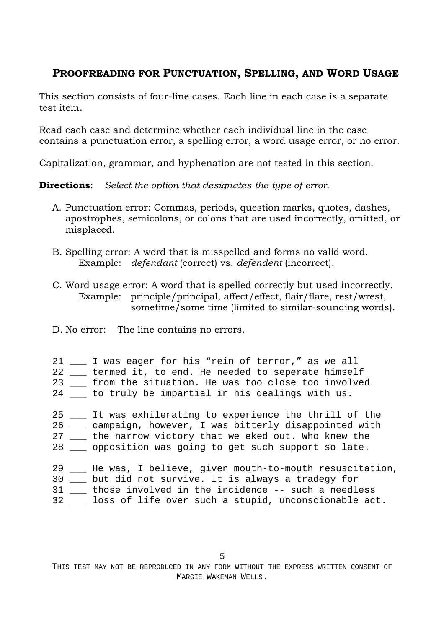## **PROOFREADING FOR PUNCTUATION, SPELLING, AND WORD USAGE**

This section consists of four-line cases. Each line in each case is a separate test item.

Read each case and determine whether each individual line in the case contains a punctuation error, a spelling error, a word usage error, or no error.

Capitalization, grammar, and hyphenation are not tested in this section.

**Directions**: *Select the option that designates the type of error*.

- A. Punctuation error: Commas, periods, question marks, quotes, dashes, apostrophes, semicolons, or colons that are used incorrectly, omitted, or misplaced.
- B. Spelling error: A word that is misspelled and forms no valid word. Example: *defendant* (correct) vs. *defendent* (incorrect).
- C. Word usage error: A word that is spelled correctly but used incorrectly. Example: principle/principal, affect/effect, flair/flare, rest/wrest, sometime/some time (limited to similar-sounding words).
- D. No error: The line contains no errors.
- 21 I was eager for his "rein of terror," as we all 22 \_\_\_ termed it, to end. He needed to seperate himself 23 \_\_\_ from the situation. He was too close too involved 24 \_\_\_ to truly be impartial in his dealings with us. 25 \_\_\_ It was exhilerating to experience the thrill of the 26 \_\_\_ campaign, however, I was bitterly disappointed with 27 \_\_\_ the narrow victory that we eked out. Who knew the 28 \_\_\_ opposition was going to get such support so late.
- 29 \_\_\_ He was, I believe, given mouth-to-mouth resuscitation, 30 \_\_\_ but did not survive. It is always a tradegy for 31 \_\_\_ those involved in the incidence -- such a needless 32 \_\_\_ loss of life over such a stupid, unconscionable act.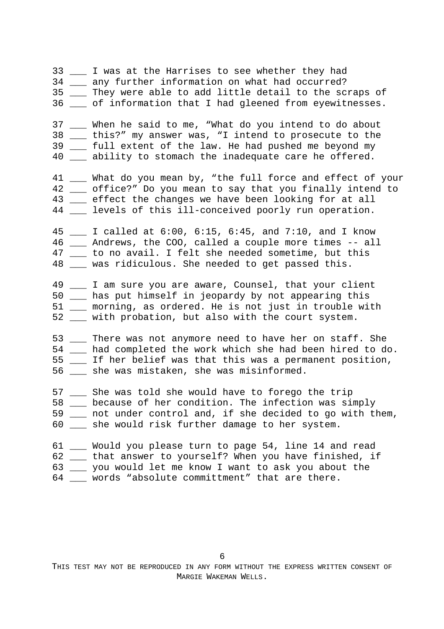33 \_\_\_ I was at the Harrises to see whether they had 34 \_\_\_ any further information on what had occurred? 35 \_\_\_ They were able to add little detail to the scraps of 36 of information that I had gleened from eyewitnesses. 37 \_\_\_ When he said to me, "What do you intend to do about 38 \_\_\_ this?" my answer was, "I intend to prosecute to the 39 \_\_\_ full extent of the law. He had pushed me beyond my 40 \_\_\_ ability to stomach the inadequate care he offered. 41 \_\_\_ What do you mean by, "the full force and effect of your 42 \_\_\_ office?" Do you mean to say that you finally intend to 43 \_\_\_ effect the changes we have been looking for at all 44 \_\_\_ levels of this ill-conceived poorly run operation. 45 \_\_\_ I called at 6:00, 6:15, 6:45, and 7:10, and I know 46 \_\_\_ Andrews, the COO, called a couple more times -- all 47 \_\_\_ to no avail. I felt she needed sometime, but this 48 \_\_\_ was ridiculous. She needed to get passed this. 49 \_\_\_ I am sure you are aware, Counsel, that your client 50 \_\_\_ has put himself in jeopardy by not appearing this 51 \_\_\_ morning, as ordered. He is not just in trouble with 52 \_\_\_ with probation, but also with the court system. 53 \_\_\_ There was not anymore need to have her on staff. She 54 \_\_\_ had completed the work which she had been hired to do. 55 \_\_\_ If her belief was that this was a permanent position, 56 \_\_\_ she was mistaken, she was misinformed. 57 \_\_\_ She was told she would have to forego the trip 58 \_\_\_ because of her condition. The infection was simply 59 \_\_\_ not under control and, if she decided to go with them, 60 \_\_\_ she would risk further damage to her system. 61 Would you please turn to page 54, line 14 and read 62 \_\_\_ that answer to yourself? When you have finished, if 63 \_\_\_ you would let me know I want to ask you about the

64 \_\_\_ words "absolute committment" that are there.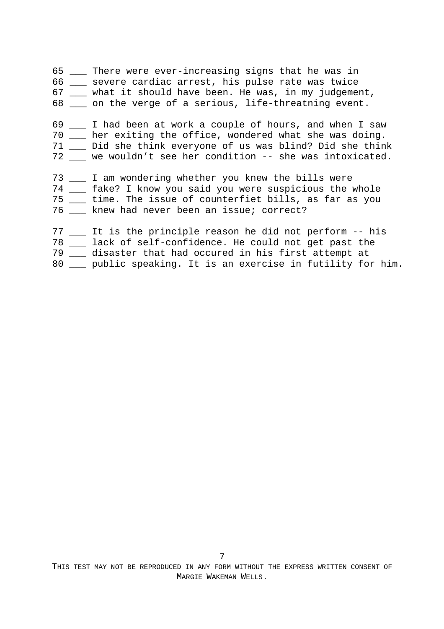65 \_\_\_ There were ever-increasing signs that he was in 66 \_\_\_ severe cardiac arrest, his pulse rate was twice 67 \_\_\_ what it should have been. He was, in my judgement, 68 on the verge of a serious, life-threatning event. 69 \_\_\_ I had been at work a couple of hours, and when I saw 70 \_\_\_ her exiting the office, wondered what she was doing. 71 \_\_\_ Did she think everyone of us was blind? Did she think 72 \_\_\_ we wouldn't see her condition -- she was intoxicated. 73 \_\_\_ I am wondering whether you knew the bills were 74 \_\_\_ fake? I know you said you were suspicious the whole 75 \_\_\_ time. The issue of counterfiet bills, as far as you 76 \_\_\_ knew had never been an issue; correct? 77 \_\_\_ It is the principle reason he did not perform -- his 78 \_\_\_ lack of self-confidence. He could not get past the 79 \_\_\_ disaster that had occured in his first attempt at 80 \_\_\_ public speaking. It is an exercise in futility for him.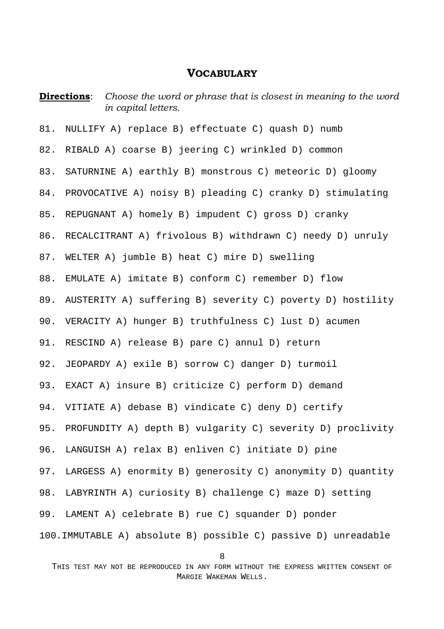#### **VOCABULARY**

**Directions**: Choose the word or phrase that is closest in meaning to the word *in capital letters.*  81. NULLIFY A) replace B) effectuate C) quash D) numb 82. RIBALD A) coarse B) jeering C) wrinkled D) common 83. SATURNINE A) earthly B) monstrous C) meteoric D) gloomy 84. PROVOCATIVE A) noisy B) pleading C) cranky D) stimulating 85. REPUGNANT A) homely B) impudent C) gross D) cranky 86. RECALCITRANT A) frivolous B) withdrawn C) needy D) unruly 87. WELTER A) jumble B) heat C) mire D) swelling 88. EMULATE A) imitate B) conform C) remember D) flow 89. AUSTERITY A) suffering B) severity C) poverty D) hostility 90. VERACITY A) hunger B) truthfulness C) lust D) acumen 91. RESCIND A) release B) pare C) annul D) return 92. JEOPARDY A) exile B) sorrow C) danger D) turmoil 93. EXACT A) insure B) criticize C) perform D) demand 94. VITIATE A) debase B) vindicate C) deny D) certify 95. PROFUNDITY A) depth B) vulgarity C) severity D) proclivity 96. LANGUISH A) relax B) enliven C) initiate D) pine 97. LARGESS A) enormity B) generosity C) anonymity D) quantity 98. LABYRINTH A) curiosity B) challenge C) maze D) setting 99. LAMENT A) celebrate B) rue C) squander D) ponder 100.IMMUTABLE A) absolute B) possible C) passive D) unreadable

<sup>8</sup>

THIS TEST MAY NOT BE REPRODUCED IN ANY FORM WITHOUT THE EXPRESS WRITTEN CONSENT OF MARGIE WAKEMAN WELLS.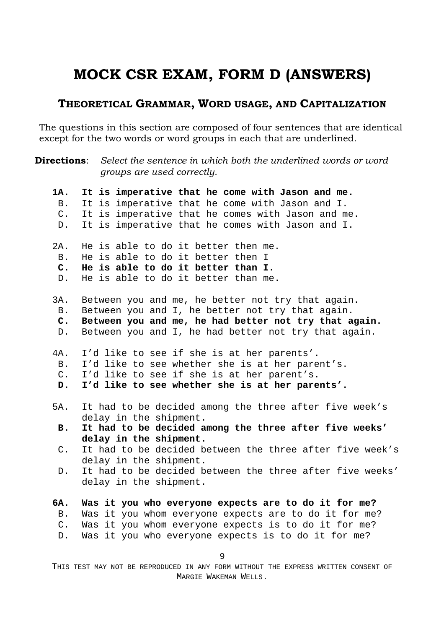# **MOCK CSR EXAM, FORM D (ANSWERS)**

## **THEORETICAL GRAMMAR, WORD USAGE, AND CAPITALIZATION**

The questions in this section are composed of four sentences that are identical except for the two words or word groups in each that are underlined.

| <b>Directions:</b> | Select the sentence in which both the underlined words or word                   |
|--------------------|----------------------------------------------------------------------------------|
|                    | groups are used correctly.                                                       |
| 1A.                | It is imperative that he come with Jason and me.                                 |
| B.                 | It is imperative that he come with Jason and I.                                  |
| $\mathsf{C}$ .     | It is imperative that he comes with Jason and me.                                |
| $D$ .              | It is imperative that he comes with Jason and I.                                 |
| 2A.                | He is able to do it better then me.                                              |
| <b>B</b> .         | He is able to do it better then I                                                |
| $\mathbf{C}$ .     | He is able to do it better than I.                                               |
| $D$ .              | He is able to do it better than me.                                              |
| 3A.                | Between you and me, he better not try that again.                                |
| <b>B.</b>          | Between you and I, he better not try that again.                                 |
| $\mathbf{C}$ .     | Between you and me, he had better not try that again.                            |
| $D$ .              | Between you and I, he had better not try that again.                             |
| 4A.                | I'd like to see if she is at her parents'.                                       |
| B.                 | I'd like to see whether she is at her parent's.                                  |
| $C$ .              | I'd like to see if she is at her parent's.                                       |
| D.                 | I'd like to see whether she is at her parents'.                                  |
| 5A.                | It had to be decided among the three after five week's                           |
|                    | delay in the shipment.                                                           |
| <b>B.</b>          | It had to be decided among the three after five weeks'<br>delay in the shipment. |
| $\mathsf{C}$ .     | It had to be decided between the three after five week's                         |
|                    | delay in the shipment.                                                           |
| D.                 | It had to be decided between the three after five weeks'                         |
|                    | delay in the shipment.                                                           |
|                    |                                                                                  |
| 6A.                | Was it you who everyone expects are to do it for me?                             |
| <b>B</b> .         | Was it you whom everyone expects are to do it for me?                            |
| $C$ .              | Was it you whom everyone expects is to do it for me?                             |
| $D$ .              | Was it you who everyone expects is to do it for me?                              |
|                    |                                                                                  |
|                    | 9                                                                                |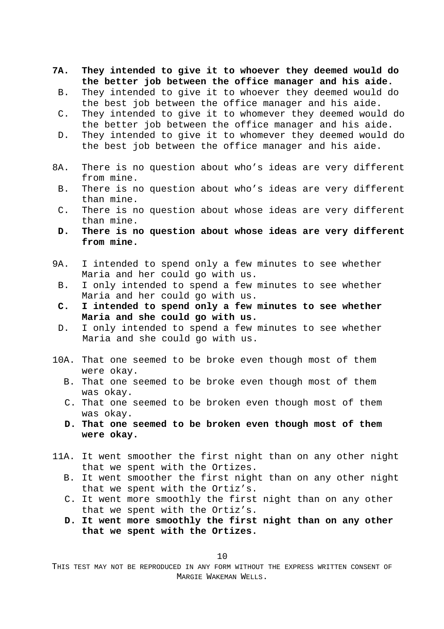- **7A. They intended to give it to whoever they deemed would do the better job between the office manager and his aide.** 
	- B. They intended to give it to whoever they deemed would do the best job between the office manager and his aide.
	- C. They intended to give it to whomever they deemed would do the better job between the office manager and his aide.
	- D. They intended to give it to whomever they deemed would do the best job between the office manager and his aide.
- 8A. There is no question about who's ideas are very different from mine.
	- B. There is no question about who's ideas are very different than mine.
	- C. There is no question about whose ideas are very different than mine.
	- **D. There is no question about whose ideas are very different from mine.**
- 9A. I intended to spend only a few minutes to see whether Maria and her could go with us.
	- B. I only intended to spend a few minutes to see whether Maria and her could go with us.
	- **C. I intended to spend only a few minutes to see whether Maria and she could go with us.**
	- D. I only intended to spend a few minutes to see whether Maria and she could go with us.
- 10A. That one seemed to be broke even though most of them were okay.
	- B. That one seemed to be broke even though most of them was okay.
	- C. That one seemed to be broken even though most of them was okay.
	- **D. That one seemed to be broken even though most of them were okay.**
- 11A. It went smoother the first night than on any other night that we spent with the Ortizes.
	- B. It went smoother the first night than on any other night that we spent with the Ortiz's.
	- C. It went more smoothly the first night than on any other that we spent with the Ortiz's.
	- **D. It went more smoothly the first night than on any other that we spent with the Ortizes.**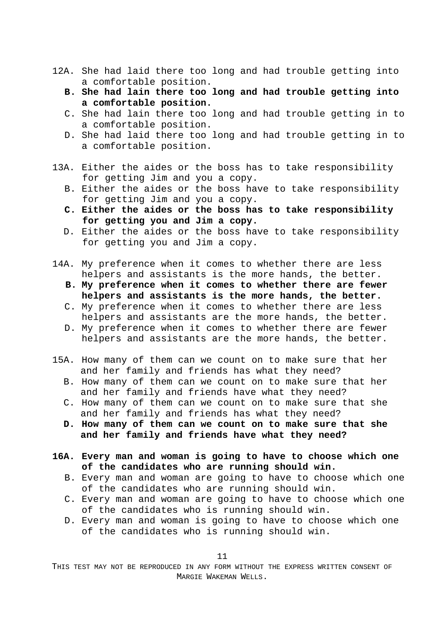- 12A. She had laid there too long and had trouble getting into a comfortable position.
	- **B. She had lain there too long and had trouble getting into a comfortable position.**
	- C. She had lain there too long and had trouble getting in to a comfortable position.
	- D. She had laid there too long and had trouble getting in to a comfortable position.
- 13A. Either the aides or the boss has to take responsibility for getting Jim and you a copy.
	- B. Either the aides or the boss have to take responsibility for getting Jim and you a copy.
	- **C. Either the aides or the boss has to take responsibility for getting you and Jim a copy.**
	- D. Either the aides or the boss have to take responsibility for getting you and Jim a copy.
- 14A. My preference when it comes to whether there are less helpers and assistants is the more hands, the better.
	- **B. My preference when it comes to whether there are fewer helpers and assistants is the more hands, the better.**
	- C. My preference when it comes to whether there are less helpers and assistants are the more hands, the better.
	- D. My preference when it comes to whether there are fewer helpers and assistants are the more hands, the better.
- 15A. How many of them can we count on to make sure that her and her family and friends has what they need?
	- B. How many of them can we count on to make sure that her and her family and friends have what they need?
	- C. How many of them can we count on to make sure that she and her family and friends has what they need?
	- **D. How many of them can we count on to make sure that she and her family and friends have what they need?**
- **16A. Every man and woman is going to have to choose which one of the candidates who are running should win.**
	- B. Every man and woman are going to have to choose which one of the candidates who are running should win.
	- C. Every man and woman are going to have to choose which one of the candidates who is running should win.
	- D. Every man and woman is going to have to choose which one of the candidates who is running should win.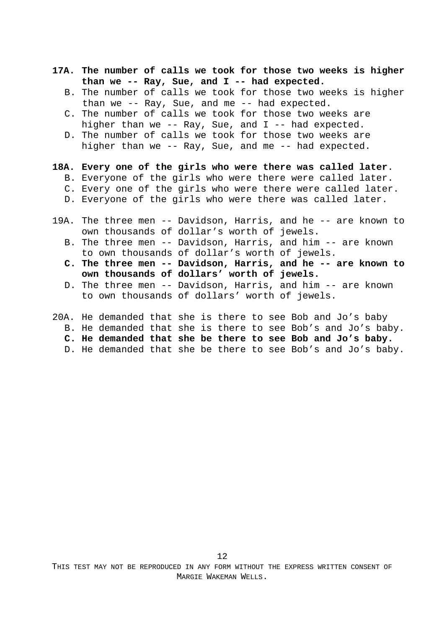- **17A. The number of calls we took for those two weeks is higher than we -- Ray, Sue, and I -- had expected.**
	- B. The number of calls we took for those two weeks is higher than we -- Ray, Sue, and me -- had expected.
	- C. The number of calls we took for those two weeks are higher than we -- Ray, Sue, and  $I$  -- had expected.
	- D. The number of calls we took for those two weeks are higher than we -- Ray, Sue, and me -- had expected.
- **18A. Every one of the girls who were there was called later**.
	- B. Everyone of the girls who were there were called later.
	- C. Every one of the girls who were there were called later.
	- D. Everyone of the girls who were there was called later.
- 19A. The three men -- Davidson, Harris, and he -- are known to own thousands of dollar's worth of jewels. B. The three men -- Davidson, Harris, and him -- are known
	- to own thousands of dollar's worth of jewels.
	- **C. The three men -- Davidson, Harris, and he -- are known to own thousands of dollars' worth of jewels.**
	- D. The three men -- Davidson, Harris, and him -- are known to own thousands of dollars' worth of jewels.
- 20A. He demanded that she is there to see Bob and Jo's baby
	- B. He demanded that she is there to see Bob's and Jo's baby.
	- **C. He demanded that she be there to see Bob and Jo's baby.**
	- D. He demanded that she be there to see Bob's and Jo's baby.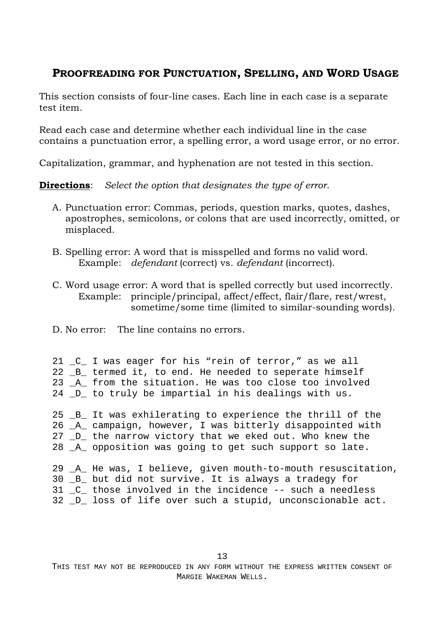### **PROOFREADING FOR PUNCTUATION, SPELLING, AND WORD USAGE**

This section consists of four-line cases. Each line in each case is a separate test item.

Read each case and determine whether each individual line in the case contains a punctuation error, a spelling error, a word usage error, or no error.

Capitalization, grammar, and hyphenation are not tested in this section.

**Directions**: *Select the option that designates the type of error*.

- A. Punctuation error: Commas, periods, question marks, quotes, dashes, apostrophes, semicolons, or colons that are used incorrectly, omitted, or misplaced.
- B. Spelling error: A word that is misspelled and forms no valid word. Example: *defendant* (correct) vs. *defendant* (incorrect).
- C. Word usage error: A word that is spelled correctly but used incorrectly. Example: principle/principal, affect/effect, flair/flare, rest/wrest, sometime/some time (limited to similar-sounding words).
- D. No error: The line contains no errors.

|  | 21 _C_ I was eager for his "rein of terror," as we all |
|--|--------------------------------------------------------|
|  | 22 B termed it, to end. He needed to seperate himself  |
|  | 23 A from the situation. He was too close too involved |
|  | 24 D to truly be impartial in his dealings with us.    |

25 \_B\_ It was exhilerating to experience the thrill of the 26 \_A\_ campaign, however, I was bitterly disappointed with 27 \_D\_ the narrow victory that we eked out. Who knew the 28 \_A\_ opposition was going to get such support so late.

29 \_A\_ He was, I believe, given mouth-to-mouth resuscitation, 30 \_B\_ but did not survive. It is always a tradegy for 31 \_C\_ those involved in the incidence -- such a needless 32 \_D\_ loss of life over such a stupid, unconscionable act.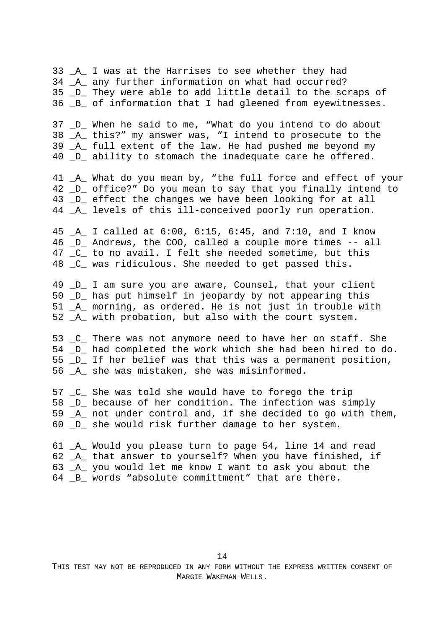33 \_A\_ I was at the Harrises to see whether they had 34 \_A\_ any further information on what had occurred? 35 \_D\_ They were able to add little detail to the scraps of 36 B of information that I had gleened from eyewitnesses.

37 \_D\_ When he said to me, "What do you intend to do about 38 \_A\_ this?" my answer was, "I intend to prosecute to the 39 \_A\_ full extent of the law. He had pushed me beyond my 40 \_D\_ ability to stomach the inadequate care he offered.

41 A What do you mean by, "the full force and effect of your 42 \_D\_ office?" Do you mean to say that you finally intend to 43 \_D\_ effect the changes we have been looking for at all 44 \_A\_ levels of this ill-conceived poorly run operation.

45 \_A\_ I called at 6:00, 6:15, 6:45, and 7:10, and I know 46 \_D\_ Andrews, the COO, called a couple more times -- all 47 C to no avail. I felt she needed sometime, but this 48 \_C\_ was ridiculous. She needed to get passed this.

49 \_D\_ I am sure you are aware, Counsel, that your client 50 \_D\_ has put himself in jeopardy by not appearing this 51 \_A\_ morning, as ordered. He is not just in trouble with 52 \_A\_ with probation, but also with the court system.

53 \_C\_ There was not anymore need to have her on staff. She 54 D had completed the work which she had been hired to do. 55 \_D\_ If her belief was that this was a permanent position, 56 \_A\_ she was mistaken, she was misinformed.

57 \_C\_ She was told she would have to forego the trip 58 \_D\_ because of her condition. The infection was simply 59 \_A\_ not under control and, if she decided to go with them, 60 \_D\_ she would risk further damage to her system.

61 \_A\_ Would you please turn to page 54, line 14 and read 62 \_A\_ that answer to yourself? When you have finished, if 63 \_A\_ you would let me know I want to ask you about the 64 B words "absolute committment" that are there.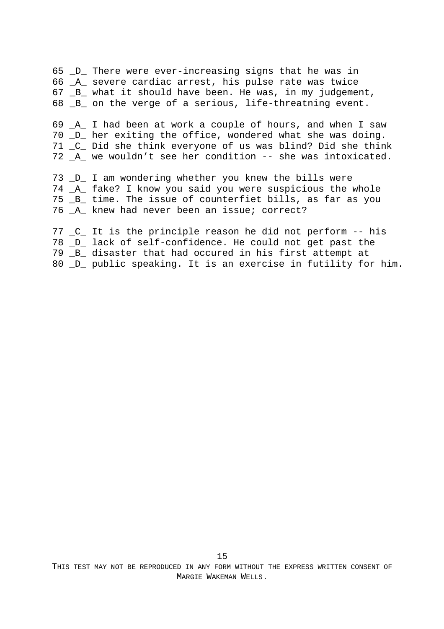65 \_D\_ There were ever-increasing signs that he was in 66 \_A\_ severe cardiac arrest, his pulse rate was twice 67 \_B\_ what it should have been. He was, in my judgement, 68 B on the verge of a serious, life-threatning event. 69 \_A\_ I had been at work a couple of hours, and when I saw 70 D her exiting the office, wondered what she was doing. 71 \_C\_ Did she think everyone of us was blind? Did she think 72 \_A\_ we wouldn't see her condition -- she was intoxicated. 73 \_D\_ I am wondering whether you knew the bills were 74 \_A\_ fake? I know you said you were suspicious the whole 75 \_B\_ time. The issue of counterfiet bills, as far as you 76 \_A\_ knew had never been an issue; correct? 77 \_C\_ It is the principle reason he did not perform -- his 78 \_D\_ lack of self-confidence. He could not get past the 79 \_B\_ disaster that had occured in his first attempt at

80 \_D\_ public speaking. It is an exercise in futility for him.